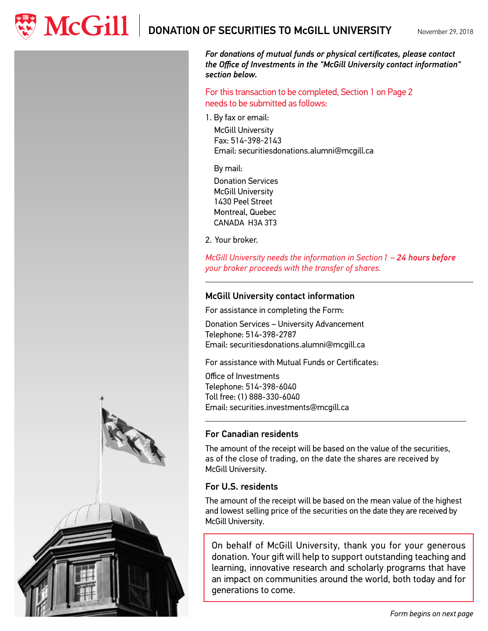$\mathbf{M}\mathbf{C}\mathbf{G}\mathbf{ill}$   $\parallel$  donation of securities to mcGill university

November 29, 2018



*For donations of mutual funds or physical certificates, please contact the Office of Investments in the "McGill University contact information" section below.*

For this transaction to be completed, Section 1 on Page 2 needs to be submitted as follows:

1. By fax or email:

McGill University Fax: 514-398-2143 Email: securitiesdonations.alumni@mcgill.ca

By mail:

Donation Services McGill University 1430 Peel Street Montreal, Quebec CANADA H3A 3T3

2. Your broker.

*McGill University needs the information in Section 1 – 24 hours before your broker proceeds with the transfer of shares.*

## McGill University contact information

For assistance in completing the Form:

Donation Services – University Advancement Telephone: 514-398-2787 Email: securitiesdonations.alumni@mcgill.ca

For assistance with Mutual Funds or Certificates:

Office of Investments Telephone: 514-398-6040 Toll free: (1) 888-330-6040 Email: securities.investments@mcgill.ca

## For Canadian residents

The amount of the receipt will be based on the value of the securities, as of the close of trading, on the date the shares are received by McGill University.

## For U.S. residents

The amount of the receipt will be based on the mean value of the highest and lowest selling price of the securities on the date they are received by McGill University.

On behalf of McGill University, thank you for your generous donation. Your gift will help to support outstanding teaching and learning, innovative research and scholarly programs that have an impact on communities around the world, both today and for generations to come.